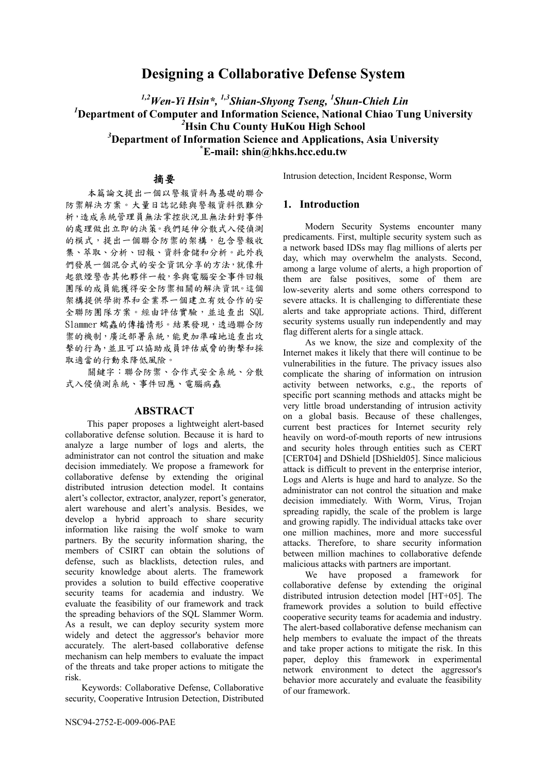# **Designing a Collaborative Defense System**

*1,2Wen-Yi Hsin\*, 1,3Shian-Shyong Tseng, 1 Shun-Chieh Lin 1* **Department of Computer and Information Science, National Chiao Tung University**  *2* **Hsin Chu County HuKou High School** 

<sup>3</sup> Department of Information Science and Applications, Asia University **E-mail: shin@hkhs.hcc.edu.tw** 

## 摘要

本篇論文提出一個以警報資料為基礎的聯合 防禦解決方案。大量日誌記錄與警報資料很難分 析,造成系統管理員無法掌控狀況且無法針對事件 的處理做出立即的決策。我們延伸分散式入侵偵測 的模式,提出一個聯合防禦的架構,包含警報收 集、萃取、分析、回報、資料倉儲和分析。此外我 們發展一個混合式的安全資訊分享的方法,就像升 起狼煙警告其他夥伴一般,參與電腦安全事件回報 團隊的成員能獲得安全防禦相關的解決資訊。這個 架構提供學術界和企業界一個建立有效合作的安 全聯防團隊方案。經由評估實驗,並追查出 SQL Slammer 蠕蟲的傳播情形。結果發現,透過聯合防 禦的機制,廣泛部署系統,能更加準確地追查出攻 擊的行為,並且可以協助成員評估威脅的衝擊和採 取適當的行動來降低風險。

關鍵字:聯合防禦、合作式安全系統、分散 式入侵偵測系統、事件回應、電腦病蟲

## **ABSTRACT**

This paper proposes a lightweight alert-based collaborative defense solution. Because it is hard to analyze a large number of logs and alerts, the administrator can not control the situation and make decision immediately. We propose a framework for collaborative defense by extending the original distributed intrusion detection model. It contains alert's collector, extractor, analyzer, report's generator, alert warehouse and alert's analysis. Besides, we develop a hybrid approach to share security information like raising the wolf smoke to warn partners. By the security information sharing, the members of CSIRT can obtain the solutions of defense, such as blacklists, detection rules, and security knowledge about alerts. The framework provides a solution to build effective cooperative security teams for academia and industry. We evaluate the feasibility of our framework and track the spreading behaviors of the SQL Slammer Worm. As a result, we can deploy security system more widely and detect the aggressor's behavior more accurately. The alert-based collaborative defense mechanism can help members to evaluate the impact of the threats and take proper actions to mitigate the risk.

Keywords: Collaborative Defense, Collaborative security, Cooperative Intrusion Detection, Distributed Intrusion detection, Incident Response, Worm

## **1. Introduction**

Modern Security Systems encounter many predicaments. First, multiple security system such as a network based IDSs may flag millions of alerts per day, which may overwhelm the analysts. Second, among a large volume of alerts, a high proportion of them are false positives, some of them are low-severity alerts and some others correspond to severe attacks. It is challenging to differentiate these alerts and take appropriate actions. Third, different security systems usually run independently and may flag different alerts for a single attack.

As we know, the size and complexity of the Internet makes it likely that there will continue to be vulnerabilities in the future. The privacy issues also complicate the sharing of information on intrusion activity between networks, e.g., the reports of specific port scanning methods and attacks might be very little broad understanding of intrusion activity on a global basis. Because of these challenges, current best practices for Internet security rely heavily on word-of-mouth reports of new intrusions and security holes through entities such as CERT [CERT04] and DShield [DShield05]. Since malicious attack is difficult to prevent in the enterprise interior, Logs and Alerts is huge and hard to analyze. So the administrator can not control the situation and make decision immediately. With Worm, Virus, Trojan spreading rapidly, the scale of the problem is large and growing rapidly. The individual attacks take over one million machines, more and more successful attacks. Therefore, to share security information between million machines to collaborative defende malicious attacks with partners are important.

We have proposed a framework for collaborative defense by extending the original distributed intrusion detection model [HT+05]. The framework provides a solution to build effective cooperative security teams for academia and industry. The alert-based collaborative defense mechanism can help members to evaluate the impact of the threats and take proper actions to mitigate the risk. In this paper, deploy this framework in experimental network environment to detect the aggressor's behavior more accurately and evaluate the feasibility of our framework.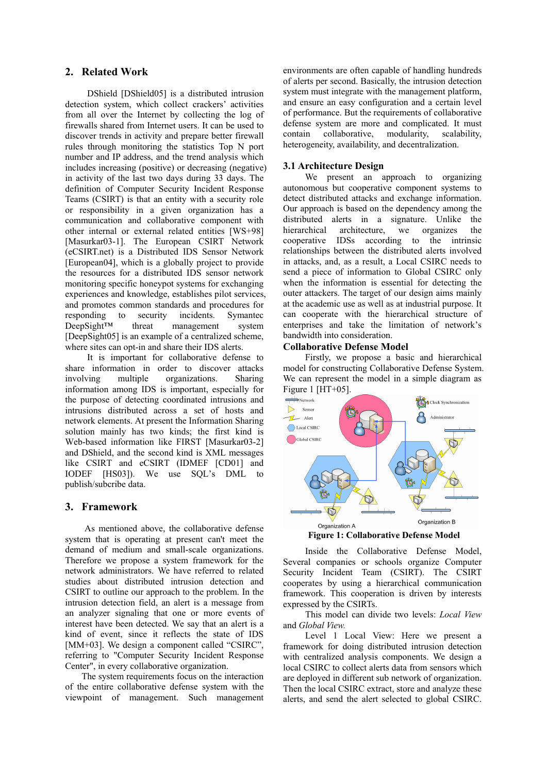## **2. Related Work**

DShield [DShield05] is a distributed intrusion detection system, which collect crackers' activities from all over the Internet by collecting the log of firewalls shared from Internet users. It can be used to discover trends in activity and prepare better firewall rules through monitoring the statistics Top N port number and IP address, and the trend analysis which includes increasing (positive) or decreasing (negative) in activity of the last two days during 33 days. The definition of Computer Security Incident Response Teams (CSIRT) is that an entity with a security role or responsibility in a given organization has a communication and collaborative component with other internal or external related entities [WS+98] [Masurkar03-1]. The European CSIRT Network (eCSIRT.net) is a Distributed IDS Sensor Network [European04], which is a globally project to provide the resources for a distributed IDS sensor network monitoring specific honeypot systems for exchanging experiences and knowledge, establishes pilot services, and promotes common standards and procedures for responding to security incidents. Symantec DeepSight<sup>TM</sup> threat management system DeepSight™ threat management system [DeepSight05] is an example of a centralized scheme, where sites can opt-in and share their IDS alerts.

It is important for collaborative defense to share information in order to discover attacks involving multiple organizations. Sharing information among IDS is important, especially for the purpose of detecting coordinated intrusions and intrusions distributed across a set of hosts and network elements. At present the Information Sharing solution mainly has two kinds; the first kind is Web-based information like FIRST [Masurkar03-2] and DShield, and the second kind is XML messages like CSIRT and eCSIRT (IDMEF [CD01] and IODEF [HS03]). We use SQL's DML to publish/subcribe data.

## **3. Framework**

As mentioned above, the collaborative defense system that is operating at present can't meet the demand of medium and small-scale organizations. Therefore we propose a system framework for the network administrators. We have referred to related studies about distributed intrusion detection and CSIRT to outline our approach to the problem. In the intrusion detection field, an alert is a message from an analyzer signaling that one or more events of interest have been detected. We say that an alert is a kind of event, since it reflects the state of IDS [MM+03]. We design a component called "CSIRC", referring to "Computer Security Incident Response Center", in every collaborative organization.

The system requirements focus on the interaction of the entire collaborative defense system with the viewpoint of management. Such management

environments are often capable of handling hundreds of alerts per second. Basically, the intrusion detection system must integrate with the management platform, and ensure an easy configuration and a certain level of performance. But the requirements of collaborative defense system are more and complicated. It must contain collaborative, modularity, scalability, heterogeneity, availability, and decentralization.

## **3.1 Architecture Design**

We present an approach to organizing autonomous but cooperative component systems to detect distributed attacks and exchange information. Our approach is based on the dependency among the distributed alerts in a signature. Unlike the hierarchical architecture, we organizes the cooperative IDSs according to the intrinsic relationships between the distributed alerts involved in attacks, and, as a result, a Local CSIRC needs to send a piece of information to Global CSIRC only when the information is essential for detecting the outer attackers. The target of our design aims mainly at the academic use as well as at industrial purpose. It can cooperate with the hierarchical structure of enterprises and take the limitation of network's bandwidth into consideration.

## **Collaborative Defense Model**

Firstly, we propose a basic and hierarchical model for constructing Collaborative Defense System. We can represent the model in a simple diagram as Figure 1 [HT+05].



**Figure 1: Collaborative Defense Model** 

Inside the Collaborative Defense Model, Several companies or schools organize Computer Security Incident Team (CSIRT). The CSIRT cooperates by using a hierarchical communication framework. This cooperation is driven by interests expressed by the CSIRTs.

 This model can divide two levels: *Local View* and *Global View.*

Level 1 Local View: Here we present a framework for doing distributed intrusion detection with centralized analysis components. We design a local CSIRC to collect alerts data from sensors which are deployed in different sub network of organization. Then the local CSIRC extract, store and analyze these alerts, and send the alert selected to global CSIRC.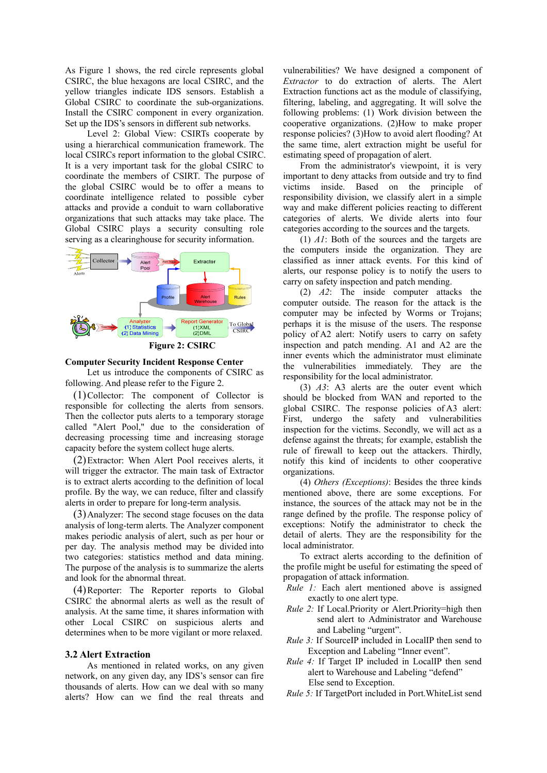As Figure 1 shows, the red circle represents global CSIRC, the blue hexagons are local CSIRC, and the yellow triangles indicate IDS sensors. Establish a Global CSIRC to coordinate the sub-organizations. Install the CSIRC component in every organization. Set up the IDS's sensors in different sub networks.

Level 2: Global View: CSIRTs cooperate by using a hierarchical communication framework. The local CSIRCs report information to the global CSIRC. It is a very important task for the global CSIRC to coordinate the members of CSIRT. The purpose of the global CSIRC would be to offer a means to coordinate intelligence related to possible cyber attacks and provide a conduit to warn collaborative organizations that such attacks may take place. The Global CSIRC plays a security consulting role serving as a clearinghouse for security information.



#### **Computer Security Incident Response Center**

Let us introduce the components of CSIRC as following. And please refer to the Figure 2.

(1)Collector: The component of Collector is responsible for collecting the alerts from sensors. Then the collector puts alerts to a temporary storage called "Alert Pool," due to the consideration of decreasing processing time and increasing storage capacity before the system collect huge alerts.

(2)Extractor: When Alert Pool receives alerts, it will trigger the extractor. The main task of Extractor is to extract alerts according to the definition of local profile. By the way, we can reduce, filter and classify alerts in order to prepare for long-term analysis.

(3)Analyzer: The second stage focuses on the data analysis of long-term alerts. The Analyzer component makes periodic analysis of alert, such as per hour or per day. The analysis method may be divided into two categories: statistics method and data mining. The purpose of the analysis is to summarize the alerts and look for the abnormal threat.

(4)Reporter: The Reporter reports to Global CSIRC the abnormal alerts as well as the result of analysis. At the same time, it shares information with other Local CSIRC on suspicious alerts and determines when to be more vigilant or more relaxed.

#### **3.2 Alert Extraction**

As mentioned in related works, on any given network, on any given day, any IDS's sensor can fire thousands of alerts. How can we deal with so many alerts? How can we find the real threats and vulnerabilities? We have designed a component of *Extractor* to do extraction of alerts. The Alert Extraction functions act as the module of classifying, filtering, labeling, and aggregating. It will solve the following problems: (1) Work division between the cooperative organizations. (2)How to make proper response policies? (3)How to avoid alert flooding? At the same time, alert extraction might be useful for estimating speed of propagation of alert.

From the administrator's viewpoint, it is very important to deny attacks from outside and try to find victims inside. Based on the principle of responsibility division, we classify alert in a simple way and make different policies reacting to different categories of alerts. We divide alerts into four categories according to the sources and the targets.

(1) *A1*: Both of the sources and the targets are the computers inside the organization. They are classified as inner attack events. For this kind of alerts, our response policy is to notify the users to carry on safety inspection and patch mending.

(2) *A2*: The inside computer attacks the computer outside. The reason for the attack is the computer may be infected by Worms or Trojans; perhaps it is the misuse of the users. The response policy of A2 alert: Notify users to carry on safety inspection and patch mending. A1 and A2 are the inner events which the administrator must eliminate the vulnerabilities immediately. They are the responsibility for the local administrator.

(3) *A3*: A3 alerts are the outer event which should be blocked from WAN and reported to the global CSIRC. The response policies of A3 alert: First, undergo the safety and vulnerabilities inspection for the victims. Secondly, we will act as a defense against the threats; for example, establish the rule of firewall to keep out the attackers. Thirdly, notify this kind of incidents to other cooperative organizations.

(4) *Others (Exceptions)*: Besides the three kinds mentioned above, there are some exceptions. For instance, the sources of the attack may not be in the range defined by the profile. The response policy of exceptions: Notify the administrator to check the detail of alerts. They are the responsibility for the local administrator.

To extract alerts according to the definition of the profile might be useful for estimating the speed of propagation of attack information.

- *Rule 1:* Each alert mentioned above is assigned exactly to one alert type.
- *Rule 2:* If Local.Priority or Alert.Priority=high then send alert to Administrator and Warehouse and Labeling "urgent".
- *Rule 3:* If SourceIP included in LocalIP then send to Exception and Labeling "Inner event".
- *Rule 4:* If Target IP included in LocalIP then send alert to Warehouse and Labeling "defend" Else send to Exception.
- *Rule 5:* If TargetPort included in Port.WhiteList send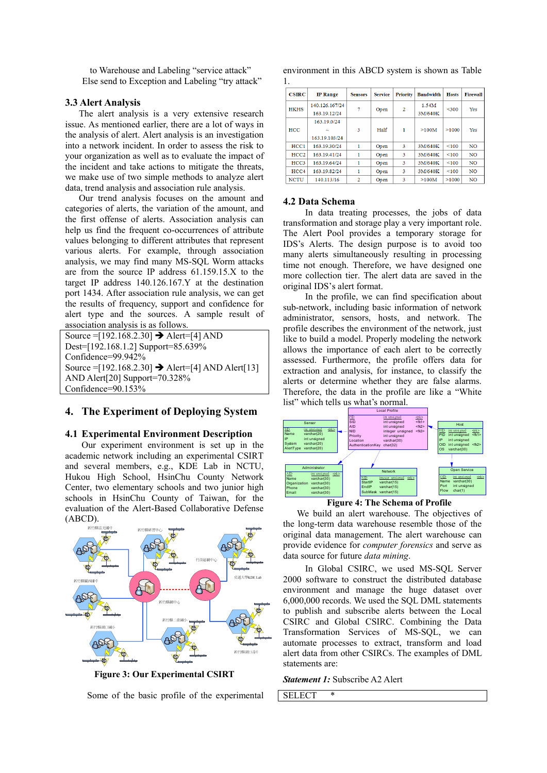to Warehouse and Labeling "service attack" Else send to Exception and Labeling "try attack"

### **3.3 Alert Analysis**

The alert analysis is a very extensive research issue. As mentioned earlier, there are a lot of ways in the analysis of alert. Alert analysis is an investigation into a network incident. In order to assess the risk to your organization as well as to evaluate the impact of the incident and take actions to mitigate the threats, we make use of two simple methods to analyze alert data, trend analysis and association rule analysis.

Our trend analysis focuses on the amount and categories of alerts, the variation of the amount, and the first offense of alerts. Association analysis can help us find the frequent co-occurrences of attribute values belonging to different attributes that represent various alerts. For example, through association analysis, we may find many MS-SQL Worm attacks are from the source IP address 61.159.15.X to the target IP address 140.126.167.Y at the destination port 1434. After association rule analysis, we can get the results of frequency, support and confidence for alert type and the sources. A sample result of association analysis is as follows.

Source =  $[192.168.2.30]$   $\rightarrow$  Alert= $[4]$  AND Dest=[192.168.1.2] Support=85.639% Confidence=99.942% Source = [192.168.2.30]  $\rightarrow$  Alert=[4] AND Alert[13] AND Alert[20] Support=70.328% Confidence=90.153%

## **4. The Experiment of Deploying System**

#### **4.1 Experimental Environment Description**

Our experiment environment is set up in the academic network including an experimental CSIRT and several members, e.g., KDE Lab in NCTU, Hukou High School, HsinChu County Network Center, two elementary schools and two junior high schools in HsinChu County of Taiwan, for the evaluation of the Alert-Based Collaborative Defense (ABCD).



**Figure 3: Our Experimental CSIRT** 

Some of the basic profile of the experimental

environment in this ABCD system is shown as Table 1.

| <b>CSIRC</b> | <b>IP</b> Range | <b>Sensors</b> | <b>Service</b> | <b>Priority</b> | <b>Bandwidth</b> | <b>Hosts</b> | <b>Firewall</b> |
|--------------|-----------------|----------------|----------------|-----------------|------------------|--------------|-----------------|
| <b>HKHS</b>  | 140.126.167/24  |                | Open           | $\overline{2}$  | 1.54M            | < 300        | Yes             |
|              | 163.19.12/24    |                |                |                 | 3M/640K          |              |                 |
|              | 163.19.0/24     |                |                |                 |                  |              |                 |
| <b>HCC</b>   |                 | 3              | Half           |                 | >100M            | >1000        | Yes             |
|              | 163.19.103/24   |                |                |                 |                  |              |                 |
| HCC1         | 163.19.30/24    |                | Open           | 3               | 3M/640K          | < 100        | <b>NO</b>       |
| HCC2         | 163.19.41/24    |                | Open           | 3               | 3M/640K          | < 100        | <b>NO</b>       |
| HCC3         | 163.19.64/24    |                | Open           | 3               | 3M/640K          | < 100        | N <sub>O</sub>  |
| HCC4         | 163.19.82/24    |                | Open           | 3               | 3M/640K          | < 100        | N <sub>O</sub>  |
| <b>NCTU</b>  | 140.113/16      | 2              | Open           | 3               | >100M            | >1000        | <b>NO</b>       |

#### **4.2 Data Schema**

In data treating processes, the jobs of data transformation and storage play a very important role. The Alert Pool provides a temporary storage for IDS's Alerts. The design purpose is to avoid too many alerts simultaneously resulting in processing time not enough. Therefore, we have designed one more collection tier. The alert data are saved in the original IDS's alert format.

In the profile, we can find specification about sub-network, including basic information of network administrator, sensors, hosts, and network. The profile describes the environment of the network, just like to build a model. Properly modeling the network allows the importance of each alert to be correctly assessed. Furthermore, the profile offers data for extraction and analysis, for instance, to classify the alerts or determine whether they are false alarms. Therefore, the data in the profile are like a "White list" which tells us what's normal.



**Figure 4: The Schema of Profile** 

We build an alert warehouse. The objectives of the long-term data warehouse resemble those of the original data management. The alert warehouse can provide evidence for *computer forensics* and serve as data source for future *data mining*.

In Global CSIRC, we used MS-SQL Server 2000 software to construct the distributed database environment and manage the huge dataset over 6,000,000 records. We used the SQL DML statements to publish and subscribe alerts between the Local CSIRC and Global CSIRC. Combining the Data Transformation Services of MS-SQL, we can automate processes to extract, transform and load alert data from other CSIRCs. The examples of DML statements are:

*Statement 1:* Subscribe A2 Alert

**SELECT**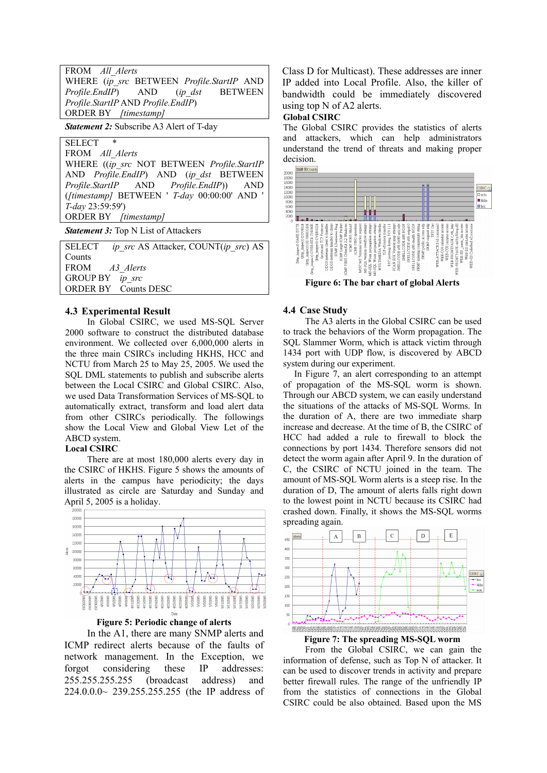| FROM All Alerts                           |  |  |  |  |  |  |  |  |
|-------------------------------------------|--|--|--|--|--|--|--|--|
| WHERE (ip src BETWEEN Profile.StartIP AND |  |  |  |  |  |  |  |  |
| Profile.EndIP) AND (ip dst BETWEEN        |  |  |  |  |  |  |  |  |
| Profile.StartIP AND Profile.EndIP)        |  |  |  |  |  |  |  |  |
| <b>ORDER BY</b> [timestamp]               |  |  |  |  |  |  |  |  |

*Statement 2:* Subscribe A3 Alert of T-day

SELECT \* FROM *All\_Alerts*  WHERE ((*ip\_src* NOT BETWEEN *Profile.StartIP* AND *Profile.EndIP*) AND (*ip\_dst* BETWEEN *Profile.StartIP* AND *Profile.EndIP*)) AND (*[timestamp]* BETWEEN ' *T-day* 00:00:00' AND ' *T-day* 23:59:59') ORDER BY *[timestamp]*

**Statement 3:** Top N List of Attackers

SELECT *ip\_src* AS Attacker, COUNT(*ip\_src*) AS Counts FROM *A3\_Alerts* GROUP BY ORDER BY Counts DESC

## **4.3 Experimental Result**

In Global CSIRC, we used MS-SQL Server 2000 software to construct the distributed database environment. We collected over 6,000,000 alerts in the three main CSIRCs including HKHS, HCC and NCTU from March 25 to May 25, 2005. We used the SQL DML statements to publish and subscribe alerts between the Local CSIRC and Global CSIRC. Also, we used Data Transformation Services of MS-SQL to automatically extract, transform and load alert data from other CSIRCs periodically. The followings show the Local View and Global View Let of the ABCD system.

#### **Local CSIRC**

There are at most 180,000 alerts every day in the CSIRC of HKHS. Figure 5 shows the amounts of alerts in the campus have periodicity; the days illustrated as circle are Saturday and Sunday and April 5, 2005 is a holiday.





In the A1, there are many SNMP alerts and ICMP redirect alerts because of the faults of network management. In the Exception, we forgot considering these IP addresses: 255.255.255.255 (broadcast address) and 224.0.0.0~ 239.255.255.255 (the IP address of Class D for Multicast). These addresses are inner IP added into Local Profile. Also, the killer of bandwidth could be immediately discovered using top N of A2 alerts.

## **Global CSIRC**

The Global CSIRC provides the statistics of alerts and attackers, which can help administrators understand the trend of threats and making proper decision.



#### **4.4 Case Study**

The A3 alerts in the Global CSIRC can be used to track the behaviors of the Worm propagation. The SQL Slammer Worm, which is attack victim through 1434 port with UDP flow, is discovered by ABCD system during our experiment.

In Figure 7, an alert corresponding to an attempt of propagation of the MS-SQL worm is shown. Through our ABCD system, we can easily understand the situations of the attacks of MS-SQL Worms. In the duration of A, there are two immediate sharp increase and decrease. At the time of B, the CSIRC of HCC had added a rule to firewall to block the connections by port 1434. Therefore sensors did not detect the worm again after April 9. In the duration of C, the CSIRC of NCTU joined in the team. The amount of MS-SQL Worm alerts is a steep rise. In the duration of D, The amount of alerts falls right down to the lowest point in NCTU because its CSIRC had crashed down. Finally, it shows the MS-SQL worms spreading again.





From the Global CSIRC, we can gain the information of defense, such as Top N of attacker. It can be used to discover trends in activity and prepare better firewall rules. The range of the unfriendly IP from the statistics of connections in the Global CSIRC could be also obtained. Based upon the MS